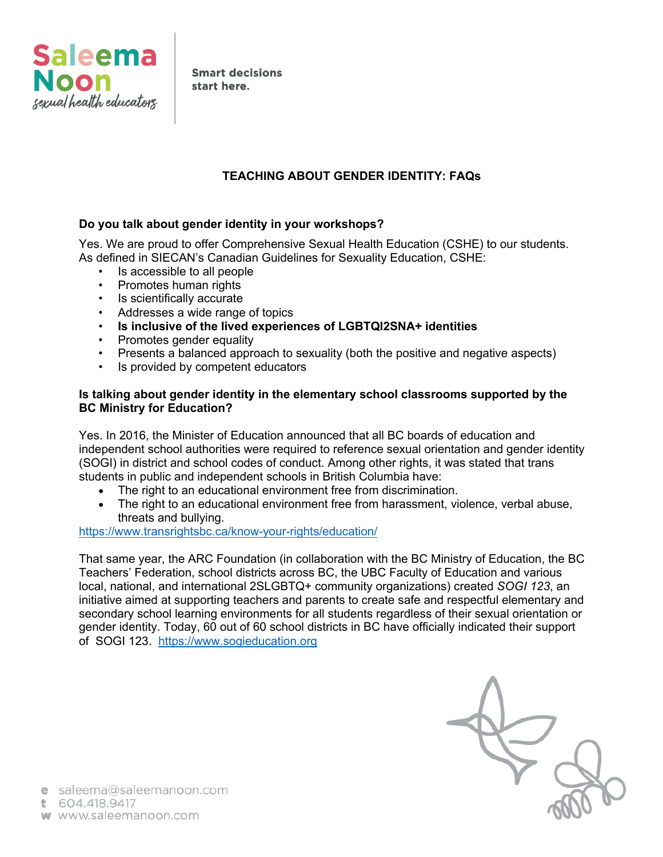

**Smart decisions** start here.

# **TEACHING ABOUT GENDER IDENTITY: FAQs**

# **Do you talk about gender identity in your workshops?**

Yes. We are proud to offer Comprehensive Sexual Health Education (CSHE) to our students. As defined in SIECAN's Canadian Guidelines for Sexuality Education, CSHE:

- Is accessible to all people
- Promotes human rights
- Is scientifically accurate
- Addresses a wide range of topics
- **Is inclusive of the lived experiences of LGBTQI2SNA+ identities**
- Promotes gender equality
- Presents a balanced approach to sexuality (both the positive and negative aspects)
- Is provided by competent educators

# **Is talking about gender identity in the elementary school classrooms supported by the BC Ministry for Education?**

Yes. In 2016, the Minister of Education announced that all BC boards of education and independent school authorities were required to reference sexual orientation and gender identity (SOGI) in district and school codes of conduct. Among other rights, it was stated that trans students in public and independent schools in British Columbia have:

- The right to an educational environment free from discrimination.
- The right to an educational environment free from harassment, violence, verbal abuse, threats and bullying.

https://www.transrightsbc.ca/know-your-rights/education/

That same year, the ARC Foundation (in collaboration with the BC Ministry of Education, the BC Teachers' Federation, school districts across BC, the UBC Faculty of Education and various local, national, and international 2SLGBTQ+ community organizations) created *SOGI 123*, an initiative aimed at supporting teachers and parents to create safe and respectful elementary and secondary school learning environments for all students regardless of their sexual orientation or gender identity. Today, 60 out of 60 school districts in BC have officially indicated their support of SOGI 123. https://www.sogieducation.org

e saleema@saleemanoon.com

t 604.418.9417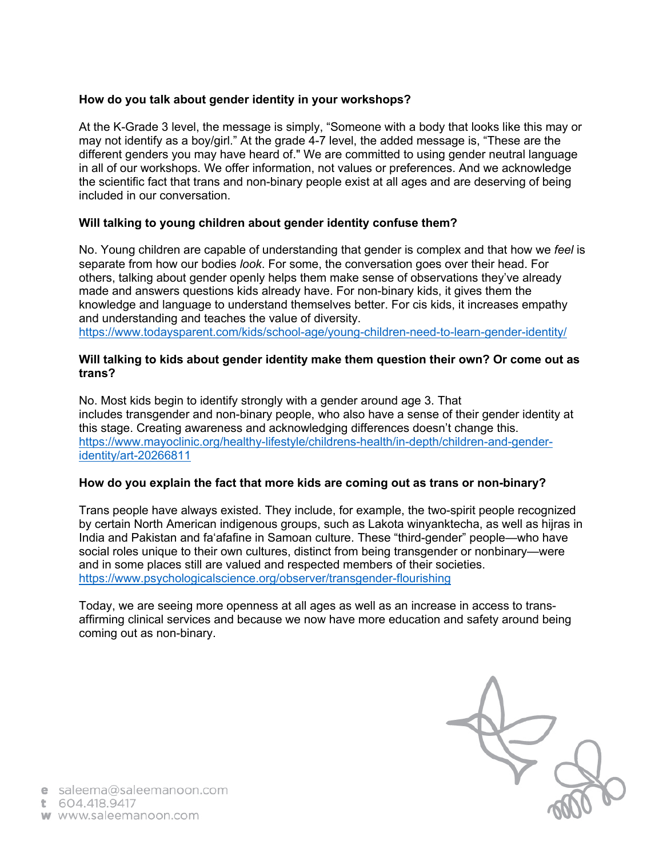# **How do you talk about gender identity in your workshops?**

At the K-Grade 3 level, the message is simply, "Someone with a body that looks like this may or may not identify as a boy/girl." At the grade 4-7 level, the added message is, "These are the different genders you may have heard of." We are committed to using gender neutral language in all of our workshops. We offer information, not values or preferences. And we acknowledge the scientific fact that trans and non-binary people exist at all ages and are deserving of being included in our conversation.

# **Will talking to young children about gender identity confuse them?**

No. Young children are capable of understanding that gender is complex and that how we *feel* is separate from how our bodies *look*. For some, the conversation goes over their head. For others, talking about gender openly helps them make sense of observations they've already made and answers questions kids already have. For non-binary kids, it gives them the knowledge and language to understand themselves better. For cis kids, it increases empathy and understanding and teaches the value of diversity. https://www.todaysparent.com/kids/school-age/young-children-need-to-learn-gender-identity/

#### **Will talking to kids about gender identity make them question their own? Or come out as trans?**

No. Most kids begin to identify strongly with a gender around age 3. That includes transgender and non-binary people, who also have a sense of their gender identity at this stage. Creating awareness and acknowledging differences doesn't change this. https://www.mayoclinic.org/healthy-lifestyle/childrens-health/in-depth/children-and-genderidentity/art-20266811

#### **How do you explain the fact that more kids are coming out as trans or non-binary?**

Trans people have always existed. They include, for example, the two-spirit people recognized by certain North American indigenous groups, such as Lakota winyanktecha, as well as hijras in India and Pakistan and faʻafafine in Samoan culture. These "third-gender" people—who have social roles unique to their own cultures, distinct from being transgender or nonbinary—were and in some places still are valued and respected members of their societies. https://www.psychologicalscience.org/observer/transgender-flourishing

Today, we are seeing more openness at all ages as well as an increase in access to transaffirming clinical services and because we now have more education and safety around being coming out as non-binary.

e saleema@saleemanoon.com

t 604.418.9417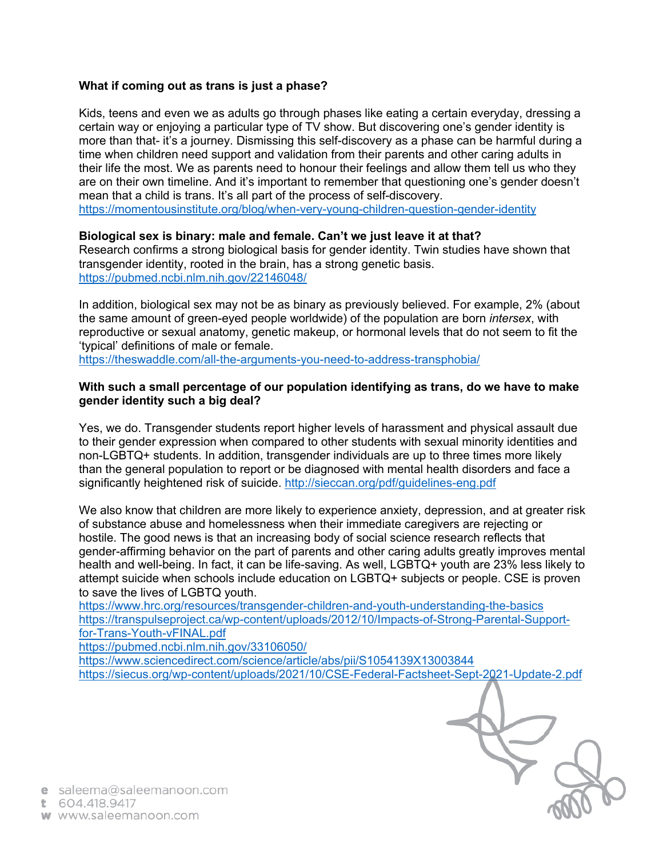#### **What if coming out as trans is just a phase?**

Kids, teens and even we as adults go through phases like eating a certain everyday, dressing a certain way or enjoying a particular type of TV show. But discovering one's gender identity is more than that- it's a journey. Dismissing this self-discovery as a phase can be harmful during a time when children need support and validation from their parents and other caring adults in their life the most. We as parents need to honour their feelings and allow them tell us who they are on their own timeline. And it's important to remember that questioning one's gender doesn't mean that a child is trans. It's all part of the process of self-discovery.

https://momentousinstitute.org/blog/when-very-young-children-question-gender-identity

#### **Biological sex is binary: male and female. Can't we just leave it at that?**

Research confirms a strong biological basis for gender identity. Twin studies have shown that transgender identity, rooted in the brain, has a strong genetic basis. https://pubmed.ncbi.nlm.nih.gov/22146048/

In addition, biological sex may not be as binary as previously believed. For example, 2% (about the same amount of green-eyed people worldwide) of the population are born *intersex*, with reproductive or sexual anatomy, genetic makeup, or hormonal levels that do not seem to fit the 'typical' definitions of male or female.

https://theswaddle.com/all-the-arguments-you-need-to-address-transphobia/

# **With such a small percentage of our population identifying as trans, do we have to make gender identity such a big deal?**

Yes, we do. Transgender students report higher levels of harassment and physical assault due to their gender expression when compared to other students with sexual minority identities and non-LGBTQ+ students. In addition, transgender individuals are up to three times more likely than the general population to report or be diagnosed with mental health disorders and face a significantly heightened risk of suicide. http://sieccan.org/pdf/guidelines-eng.pdf

We also know that children are more likely to experience anxiety, depression, and at greater risk of substance abuse and homelessness when their immediate caregivers are rejecting or hostile. The good news is that an increasing body of social science research reflects that gender-affirming behavior on the part of parents and other caring adults greatly improves mental health and well-being. In fact, it can be life-saving. As well, LGBTQ+ youth are 23% less likely to attempt suicide when schools include education on LGBTQ+ subjects or people. CSE is proven to save the lives of LGBTQ youth.

https://www.hrc.org/resources/transgender-children-and-youth-understanding-the-basics https://transpulseproject.ca/wp-content/uploads/2012/10/Impacts-of-Strong-Parental-Supportfor-Trans-Youth-vFINAL.pdf

https://pubmed.ncbi.nlm.nih.gov/33106050/

https://www.sciencedirect.com/science/article/abs/pii/S1054139X13003844 https://siecus.org/wp-content/uploads/2021/10/CSE-Federal-Factsheet-Sept-2021-Update-2.pdf

e saleema@saleemanoon.com

t 604.418.9417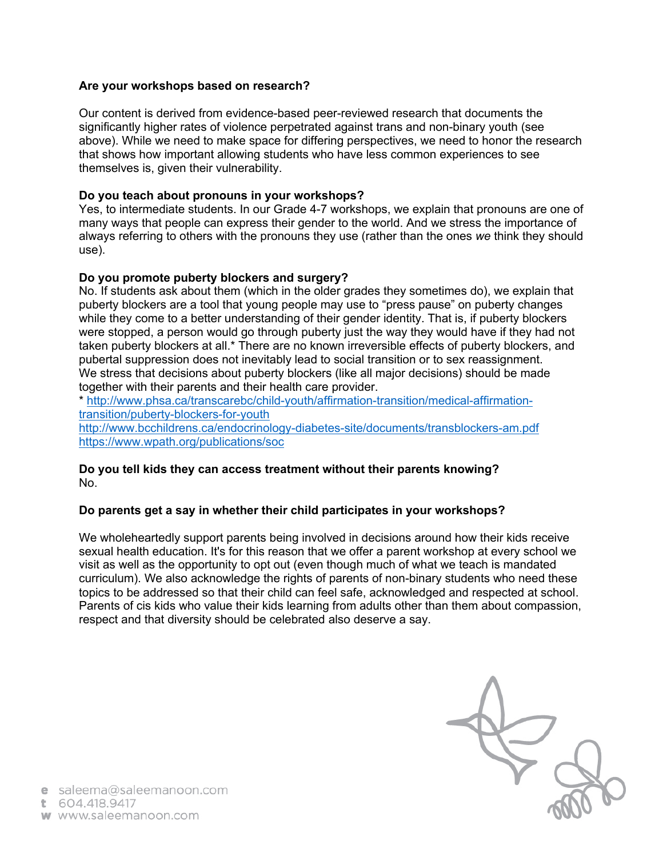# **Are your workshops based on research?**

Our content is derived from evidence-based peer-reviewed research that documents the significantly higher rates of violence perpetrated against trans and non-binary youth (see above). While we need to make space for differing perspectives, we need to honor the research that shows how important allowing students who have less common experiences to see themselves is, given their vulnerability.

# **Do you teach about pronouns in your workshops?**

Yes, to intermediate students. In our Grade 4-7 workshops, we explain that pronouns are one of many ways that people can express their gender to the world. And we stress the importance of always referring to others with the pronouns they use (rather than the ones *we* think they should use).

# **Do you promote puberty blockers and surgery?**

No. If students ask about them (which in the older grades they sometimes do), we explain that puberty blockers are a tool that young people may use to "press pause" on puberty changes while they come to a better understanding of their gender identity. That is, if puberty blockers were stopped, a person would go through puberty just the way they would have if they had not taken puberty blockers at all.\* There are no known irreversible effects of puberty blockers, and pubertal suppression does not inevitably lead to social transition or to sex reassignment. We stress that decisions about puberty blockers (like all major decisions) should be made together with their parents and their health care provider.

\* http://www.phsa.ca/transcarebc/child-youth/affirmation-transition/medical-affirmationtransition/puberty-blockers-for-youth

http://www.bcchildrens.ca/endocrinology-diabetes-site/documents/transblockers-am.pdf https://www.wpath.org/publications/soc

#### **Do you tell kids they can access treatment without their parents knowing?**  No.

#### **Do parents get a say in whether their child participates in your workshops?**

We wholeheartedly support parents being involved in decisions around how their kids receive sexual health education. It's for this reason that we offer a parent workshop at every school we visit as well as the opportunity to opt out (even though much of what we teach is mandated curriculum). We also acknowledge the rights of parents of non-binary students who need these topics to be addressed so that their child can feel safe, acknowledged and respected at school. Parents of cis kids who value their kids learning from adults other than them about compassion, respect and that diversity should be celebrated also deserve a say.

e saleema@saleemanoon.com

t 604.418.9417